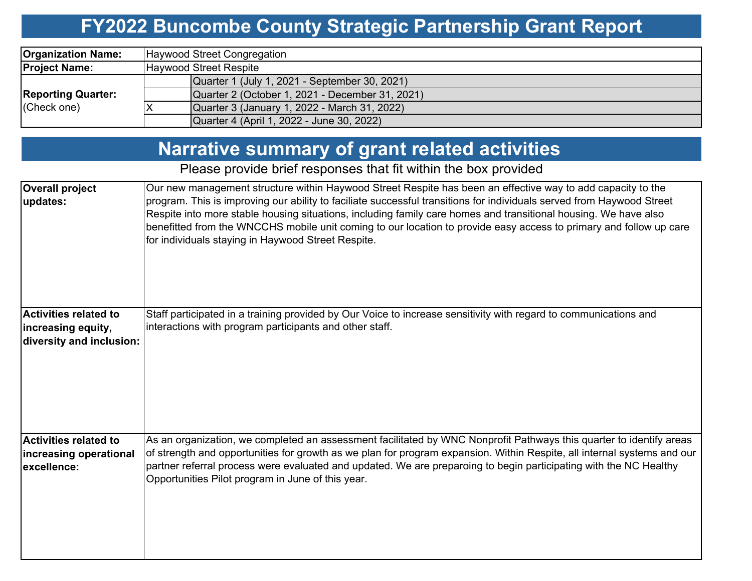## **FY2022 Buncombe County Strategic Partnership Grant Report**

| <b>Organization Name:</b>                | Haywood Street Congregation                     |  |  |  |  |  |  |
|------------------------------------------|-------------------------------------------------|--|--|--|--|--|--|
| <b>Project Name:</b>                     | <b>Haywood Street Respite</b>                   |  |  |  |  |  |  |
| <b>Reporting Quarter:</b><br>(Check one) | Quarter 1 (July 1, 2021 - September 30, 2021)   |  |  |  |  |  |  |
|                                          | Quarter 2 (October 1, 2021 - December 31, 2021) |  |  |  |  |  |  |
|                                          | Quarter 3 (January 1, 2022 - March 31, 2022)    |  |  |  |  |  |  |
|                                          | Quarter 4 (April 1, 2022 - June 30, 2022)       |  |  |  |  |  |  |

## **Narrative summary of grant related activities**

### Please provide brief responses that fit within the box provided

| <b>Overall project</b><br>updates:                                             | Our new management structure within Haywood Street Respite has been an effective way to add capacity to the<br>program. This is improving our ability to faciliate successful transitions for individuals served from Haywood Street<br>Respite into more stable housing situations, including family care homes and transitional housing. We have also<br>benefitted from the WNCCHS mobile unit coming to our location to provide easy access to primary and follow up care<br>for individuals staying in Haywood Street Respite. |
|--------------------------------------------------------------------------------|-------------------------------------------------------------------------------------------------------------------------------------------------------------------------------------------------------------------------------------------------------------------------------------------------------------------------------------------------------------------------------------------------------------------------------------------------------------------------------------------------------------------------------------|
| <b>Activities related to</b><br>increasing equity,<br>diversity and inclusion: | Staff participated in a training provided by Our Voice to increase sensitivity with regard to communications and<br>interactions with program participants and other staff.                                                                                                                                                                                                                                                                                                                                                         |
| Activities related to<br>increasing operational<br>excellence:                 | As an organization, we completed an assessment facilitated by WNC Nonprofit Pathways this quarter to identify areas<br>of strength and opportunities for growth as we plan for program expansion. Within Respite, all internal systems and our<br>partner referral process were evaluated and updated. We are preparoing to begin participating with the NC Healthy<br>Opportunities Pilot program in June of this year.                                                                                                            |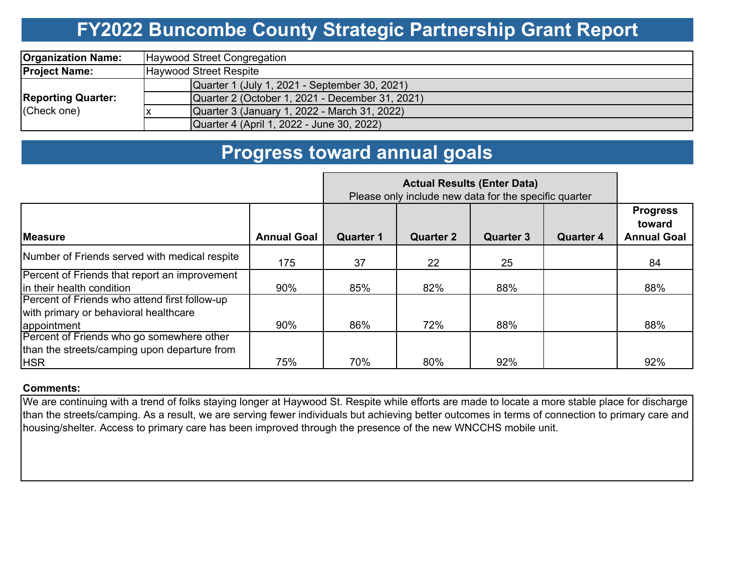## **FY2022 Buncombe County Strategic Partnership Grant Report**

| <b>Organization Name:</b>                | Haywood Street Congregation                     |  |  |  |  |  |  |
|------------------------------------------|-------------------------------------------------|--|--|--|--|--|--|
| <b>Project Name:</b>                     | Haywood Street Respite                          |  |  |  |  |  |  |
| <b>Reporting Quarter:</b><br>(Check one) | Quarter 1 (July 1, 2021 - September 30, 2021)   |  |  |  |  |  |  |
|                                          | Quarter 2 (October 1, 2021 - December 31, 2021) |  |  |  |  |  |  |
|                                          | Quarter 3 (January 1, 2022 - March 31, 2022)    |  |  |  |  |  |  |
|                                          | Quarter 4 (April 1, 2022 - June 30, 2022)       |  |  |  |  |  |  |

## **Progress toward annual goals**

|                                                                                                         | Please only include new data for the specific quarter |                  |                  |                  |                  |                                                 |
|---------------------------------------------------------------------------------------------------------|-------------------------------------------------------|------------------|------------------|------------------|------------------|-------------------------------------------------|
| <b>IMeasure</b>                                                                                         | <b>Annual Goal</b>                                    | <b>Quarter 1</b> | <b>Quarter 2</b> | <b>Quarter 3</b> | <b>Quarter 4</b> | <b>Progress</b><br>toward<br><b>Annual Goal</b> |
| Number of Friends served with medical respite                                                           | 175                                                   | 37               | 22               | 25               |                  | 84                                              |
| Percent of Friends that report an improvement<br>In their health condition                              | 90%                                                   | 85%              | 82%              | 88%              |                  | 88%                                             |
| Percent of Friends who attend first follow-up<br>with primary or behavioral healthcare<br>appointment   | 90%                                                   | 86%              | 72%              | 88%              |                  | 88%                                             |
| Percent of Friends who go somewhere other<br>than the streets/camping upon departure from<br><b>HSR</b> | 75%                                                   | 70%              | 80%              | 92%              |                  | 92%                                             |

#### **Comments:**

We are continuing with a trend of folks staying longer at Haywood St. Respite while efforts are made to locate a more stable place for discharge than the streets/camping. As a result, we are serving fewer individuals but achieving better outcomes in terms of connection to primary care and housing/shelter. Access to primary care has been improved through the presence of the new WNCCHS mobile unit.